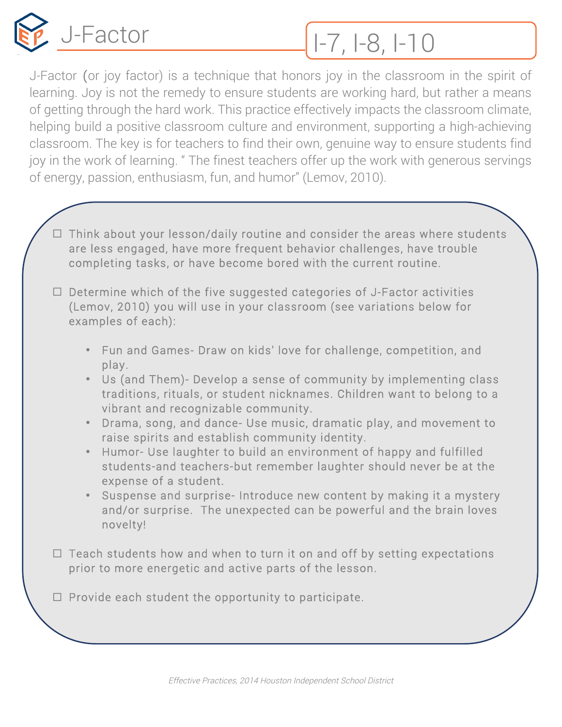

## J-Factor 1-7, 1-8, 1-10

J-Factor (or joy factor) is a technique that honors joy in the classroom in the spirit of learning. Joy is not the remedy to ensure students are working hard, but rather a means of getting through the hard work. This practice effectively impacts the classroom climate, helping build a positive classroom culture and environment, supporting a high-achieving classroom. The key is for teachers to find their own, genuine way to ensure students find joy in the work of learning. " The finest teachers offer up the work with generous servings of energy, passion, enthusiasm, fun, and humor" (Lemov, 2010).

- $\Box$  Think about your lesson/daily routine and consider the areas where students are less engaged, have more frequent behavior challenges, have trouble completing tasks, or have become bored with the current routine.
- $\Box$  Determine which of the five suggested categories of J-Factor activities (Lemov, 2010) you will use in your classroom (see variations below for examples of each):
	- Fun and Games- Draw on kids' love for challenge, competition, and play.
	- Us (and Them)- Develop a sense of community by implementing class traditions, rituals, or student nicknames. Children want to belong to a vibrant and recognizable community.
	- Drama, song, and dance- Use music, dramatic play, and movement to raise spirits and establish community identity.
	- Humor- Use laughter to build an environment of happy and fulfilled students-and teachers-but remember laughter should never be at the expense of a student.
	- Suspense and surprise- Introduce new content by making it a mystery and/or surprise. The unexpected can be powerful and the brain loves novelty!
- $\Box$  Teach students how and when to turn it on and off by setting expectations prior to more energetic and active parts of the lesson.

 $\Box$  Provide each student the opportunity to participate.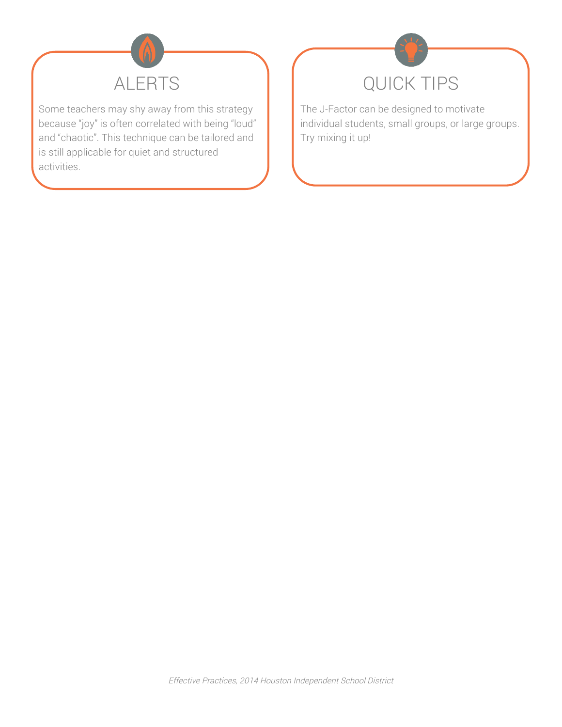

Some teachers may shy away from this strategy because "joy" is often correlated with being "loud" and "chaotic". This technique can be tailored and is still applicable for quiet and structured activities.



The J-Factor can be designed to motivate individual students, small groups, or large groups. Try mixing it up!